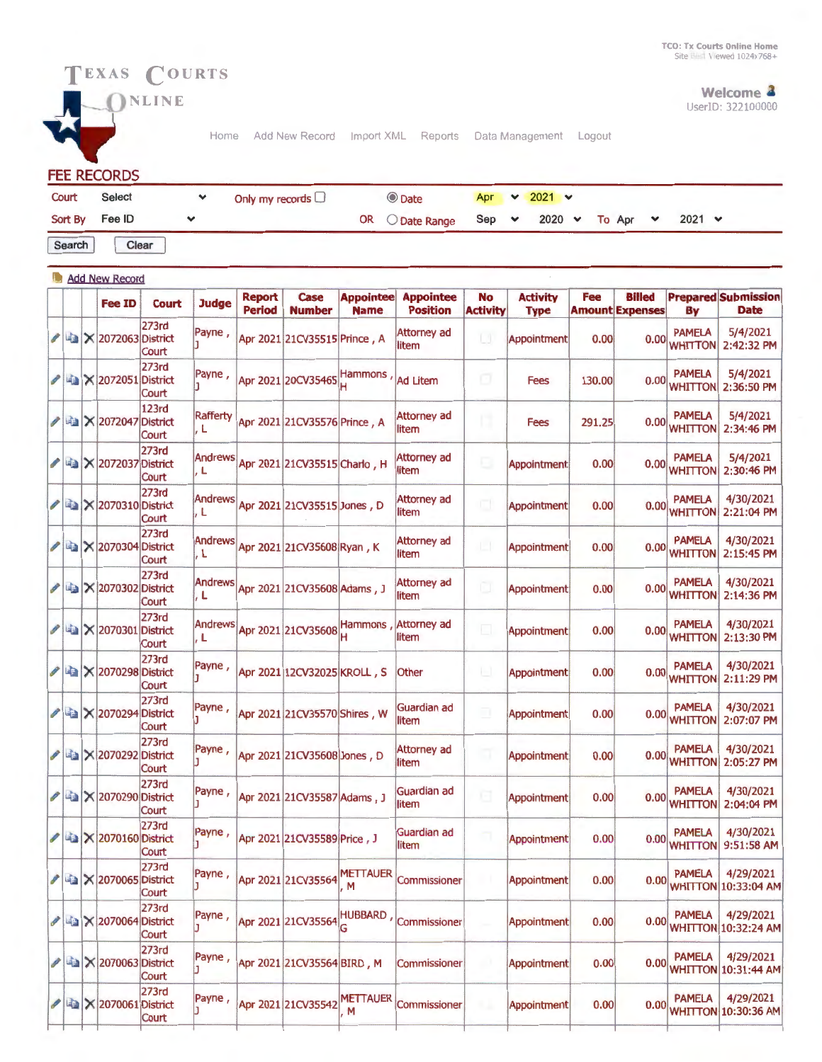

 $\bigcirc$ <sup>NLINE</sup> k.

Home Add New Record Import XML Reports Data Management Logout

**FEE RECORDS** 

| Court          | Select | Only my records $\Box$ | C Date                                               |  | Apr $\vee$ 2021 $\vee$ |  |               |  |
|----------------|--------|------------------------|------------------------------------------------------|--|------------------------|--|---------------|--|
| Sort By Fee ID |        |                        | OR O Date Range Sep $\vee$ 2020 $\vee$ To Apr $\vee$ |  |                        |  | $2021 \times$ |  |

Search Clear

|                                                                         |  | <b>Add New Record</b>                      |                                   |                        |                                |                                     |                                 |                                          |                              |                                |        |                                         |                                            |                                           |
|-------------------------------------------------------------------------|--|--------------------------------------------|-----------------------------------|------------------------|--------------------------------|-------------------------------------|---------------------------------|------------------------------------------|------------------------------|--------------------------------|--------|-----------------------------------------|--------------------------------------------|-------------------------------------------|
|                                                                         |  | <b>Fee ID</b>                              | <b>Court</b>                      | <b>Judge</b>           | <b>Report</b><br><b>Period</b> | <b>Case</b><br><b>Number</b>        | <b>Appointee</b><br><b>Name</b> | <b>Appointee</b><br><b>Position</b>      | <b>No</b><br><b>Activity</b> | <b>Activity</b><br><b>Type</b> | Fee    | <b>Billed</b><br><b>Amount Expenses</b> | By                                         | <b>Prepared Submission</b><br><b>Date</b> |
| $\begin{array}{c} \begin{array}{c} \mathcal{L} \end{array} \end{array}$ |  | 2072063 District                           | <b>273rd</b><br>Court             | Payne,                 |                                | Apr 2021 21CV35515 Prince, A        |                                 | <b>Attorney ad</b><br>litem              | u                            | Appointment                    | 0.00   | 0.00                                    | <b>PAMELA</b><br><b>WHITTON</b>            | 5/4/2021<br>2:42:32 PM                    |
|                                                                         |  | <b>Ex 2072051 District</b>                 | 273rd<br>Court                    | Payne,                 |                                | Apr 2021 20CV35465 Hammons          |                                 | <b>Ad Litem</b>                          | o                            | <b>Fees</b>                    | 130.00 |                                         | <b>PAMELA</b><br>$0.00$ <sub>WHITTON</sub> | 5/4/2021<br>2:36:50 PM                    |
|                                                                         |  | <b>/ △ × 2072047 District</b>              | <b>123rd</b><br>Court             | <b>Rafferty</b><br>. L |                                | Apr 2021 21CV35576 Prince, A        |                                 | <b>Attorney ad</b><br>litem              | п                            | <b>Fees</b>                    | 291.25 | 0.00                                    | <b>PAMELA</b><br><b>WHITTON</b>            | 5/4/2021<br>2:34:46 PM                    |
|                                                                         |  | ■ × 2072037                                | 273rd<br><b>District</b><br>Court | Andrews<br>, L         |                                | Apr 2021 21CV35515 Charlo, H        |                                 | Attorney ad<br>litem                     | G                            | Appointment                    | 0.00   |                                         | <b>PAMELA</b><br>0.00 WHITTON              | 5/4/2021<br>2:30:46 PM                    |
| I                                                                       |  | <b>图 × 2070310 District</b>                | 273rd<br>Court                    | Andrews<br>. L         |                                | Apr 2021 21CV35515 Jones, D         |                                 | Attorney ad<br>litem                     | a                            | Appointment                    | 0.00   |                                         | <b>PAMELA</b><br>0.00 WHITTON              | 4/30/2021<br>2:21:04 PM                   |
|                                                                         |  | <b>/ ■ × 2070304 District</b>              | <b>273rd</b><br>Court             | Andrews<br>, L         |                                | Apr 2021 21CV35608 Ryan, K          |                                 | Attorney ad<br>litem                     | $\Box$                       | Appointment                    | 0.00   | 0.00                                    | <b>PAMELA</b><br><b>WHITTON</b>            | 4/30/2021<br>2:15:45 PM                   |
|                                                                         |  | La X 2070302 District                      | 273rd<br>Court                    | . L                    |                                | Andrews Apr 2021 21CV35608 Adams, J |                                 | <b>Attorney ad</b><br>litem              | ū                            | Appointment                    | 0.00   |                                         | <b>PAMELA</b><br>0.00 WHITTON              | 4/30/2021<br>2:14:36 PM                   |
|                                                                         |  | × 2070301 District                         | 273rd<br>Court                    | Andrews<br>, L         |                                | Apr 2021 21CV35608 Hammons          |                                 | <b>Attorney ad</b><br>litem              | $\Box$                       | Appointment                    | 0.00   | 0.00                                    | <b>PAMELA</b><br><b>WHITTON</b>            | 4/30/2021<br>2:13:30 PM                   |
|                                                                         |  | <b>/ 4 × 2070298 District</b>              | 273rd<br>Court                    | Payne,                 |                                | Apr 2021 12CV32025 KROLL, S         |                                 | Other                                    | $\Box$                       | Appointment                    | 0.00   |                                         | <b>PAMELA</b><br>0.00 WHITTON              | 4/30/2021<br>2:11:29 PM                   |
| I                                                                       |  | <b>Ea</b> X 2070294 District               | 273rd<br>Court                    | Payne,                 |                                | Apr 2021 21CV35570 Shires, W        |                                 | Guardian ad<br>litem                     | Ξ                            | Appointment                    | 0.00   | 0.00                                    | <b>PAMELA</b><br><b>WHITTON</b>            | 4/30/2021<br>2:07:07 PM                   |
| I                                                                       |  | La X 2070292 District                      | 273rd<br>Court                    | Payne,                 |                                | Apr 2021 21CV35608 Jones, D         |                                 | Attorney ad<br>litem                     |                              | Appointment                    | 0.00   |                                         | <b>PAMELA</b><br>0.00 WHITTON              | 4/30/2021<br>2:05:27 PM                   |
|                                                                         |  | <b>2070290 District</b>                    | 273rd<br>Court                    | Payne,                 |                                | Apr 2021 21CV35587 Adams, J         |                                 | Guardian ad<br>litem                     | G                            | Appointment                    | 0.00   |                                         | <b>PAMELA</b><br>0.00 WHITTON              | 4/30/2021<br>2:04:04 PM                   |
|                                                                         |  | X 2070160 District                         | 273rd<br>Court                    | Payne,                 |                                | Apr 2021 21CV35589 Price, J         |                                 | Guardian ad<br>litem                     | n                            | Appointment                    | 0.00   | 0.00                                    | <b>PAMELA</b><br><b>WHITTON</b>            | 4/30/2021<br>9:51:58 AM                   |
|                                                                         |  | X 2070065 District                         | 273rd<br>Court                    | Payne,                 |                                | Apr 2021 21CV35564 METTAUER         |                                 | Commissioner                             |                              | Appointment                    | 0.00   |                                         | <b>PAMELA</b>                              | 4/29/2021<br>0.00 WHITTON 10:33:04 AM     |
|                                                                         |  | <b>/ 4</b> × 2070064 District              | 273rd<br>Court                    | Payne,                 |                                |                                     |                                 | Apr 2021 21CV35564 HUBBARD, Commissioner |                              | Appointment                    | 0.00   |                                         | <b>PAMELA</b>                              | 4/29/2021<br>0.00 WHITTON 10:32:24 AM     |
|                                                                         |  | <b>/ △ × 2070063 District</b>              | 273rd<br>Court                    | Payne,                 |                                | Apr 2021 21CV35564 BIRD, M          |                                 | Commissioner                             |                              | Appointment                    | 0.00   | 0.00                                    | <b>PAMELA</b><br><b>WHITTON</b>            | 4/29/2021<br>10:31:44 AM                  |
|                                                                         |  | $\sim$ $\approx$ $\times$ 2070061 District | 273rd<br>Court                    | Payne,                 |                                |                                     | M                               | Apr 2021 21CV35542 METTAUER Commissioner |                              | Appointment                    | 0.00   |                                         | <b>PAMELA</b>                              | 4/29/2021<br>0.00 WHITTON 10:30:36 AM     |
|                                                                         |  |                                            |                                   |                        |                                |                                     |                                 |                                          |                              |                                |        |                                         |                                            |                                           |